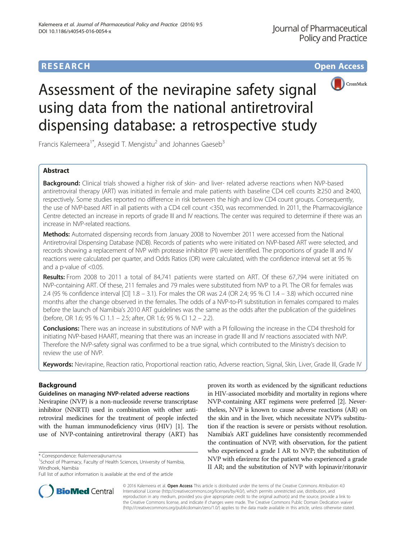# **RESEARCH CHE Open Access**



# Assessment of the nevirapine safety signal using data from the national antiretroviral dispensing database: a retrospective study

Francis Kalemeera<sup>1\*</sup>, Assegid T. Mengistu<sup>2</sup> and Johannes Gaeseb<sup>3</sup>

# Abstract

**Background:** Clinical trials showed a higher risk of skin- and liver- related adverse reactions when NVP-based antiretroviral therapy (ART) was initiated in female and male patients with baseline CD4 cell counts ≥250 and ≥400, respectively. Some studies reported no difference in risk between the high and low CD4 count groups. Consequently, the use of NVP-based ART in all patients with a CD4 cell count <350, was recommended. In 2011, the Pharmacovigilance Centre detected an increase in reports of grade III and IV reactions. The center was required to determine if there was an increase in NVP-related reactions.

Methods: Automated dispensing records from January 2008 to November 2011 were accessed from the National Antiretroviral Dispensing Database (NDB). Records of patients who were initiated on NVP-based ART were selected, and records showing a replacement of NVP with protease inhibitor (PI) were identified. The proportions of grade III and IV reactions were calculated per quarter, and Odds Ratios (OR) were calculated, with the confidence interval set at 95 % and a p-value of <0.05.

Results: From 2008 to 2011 a total of 84,741 patients were started on ART. Of these 67,794 were initiated on NVP-containing ART. Of these, 211 females and 79 males were substituted from NVP to a PI. The OR for females was 2.4 (95 % confidence interval [CI] 1.8 – 3.1). For males the OR was 2.4 (OR 2.4; 95 % CI 1.4 – 3.8) which occurred nine months after the change observed in the females. The odds of a NVP-to-PI substitution in females compared to males before the launch of Namibia's 2010 ART guidelines was the same as the odds after the publication of the guidelines (before, OR 1.6; 95 % CI 1.1 – 2.5; after, OR 1.6; 95 % CI 1.2 – 2.2).

**Conclusions:** There was an increase in substitutions of NVP with a PI following the increase in the CD4 threshold for initiating NVP-based HAART, meaning that there was an increase in grade III and IV reactions associated with NVP. Therefore the NVP-safety signal was confirmed to be a true signal, which contributed to the Ministry's decision to review the use of NVP.

Keywords: Nevirapine, Reaction ratio, Proportional reaction ratio, Adverse reaction, Signal, Skin, Liver, Grade III, Grade IV

# Background

## Guidelines on managing NVP-related adverse reactions

Nevirapine (NVP) is a non-nucleoside reverse transcriptase inhibitor (NNRTI) used in combination with other antiretroviral medicines for the treatment of people infected with the human immunodeficiency virus (HIV) [\[1](#page-7-0)]. The use of NVP-containing antiretroviral therapy (ART) has

proven its worth as evidenced by the significant reductions in HIV-associated morbidity and mortality in regions where NVP-containing ART regimens were preferred [\[2](#page-7-0)]. Nevertheless, NVP is known to cause adverse reactions (AR) on the skin and in the liver, which necessitate NVP's substitution if the reaction is severe or persists without resolution. Namibia's ART guidelines have consistently recommended the continuation of NVP, with observation, for the patient who experienced a grade I AR to NVP; the substitution of NVP with efavirenz for the patient who experienced a grade II AR; and the substitution of NVP with lopinavir/ritonavir



© 2016 Kalemeera et al. Open Access This article is distributed under the terms of the Creative Commons Attribution 4.0 International License [\(http://creativecommons.org/licenses/by/4.0/](http://creativecommons.org/licenses/by/4.0/)), which permits unrestricted use, distribution, and reproduction in any medium, provided you give appropriate credit to the original author(s) and the source, provide a link to the Creative Commons license, and indicate if changes were made. The Creative Commons Public Domain Dedication waiver [\(http://creativecommons.org/publicdomain/zero/1.0/](http://creativecommons.org/publicdomain/zero/1.0/)) applies to the data made available in this article, unless otherwise stated.

<sup>\*</sup> Correspondence: [fkalemeera@unam.na](mailto:fkalemeera@unam.na) <sup>1</sup>

<sup>&</sup>lt;sup>1</sup>School of Pharmacy, Faculty of Health Sciences, University of Namibia, Windhoek, Namibia

Full list of author information is available at the end of the article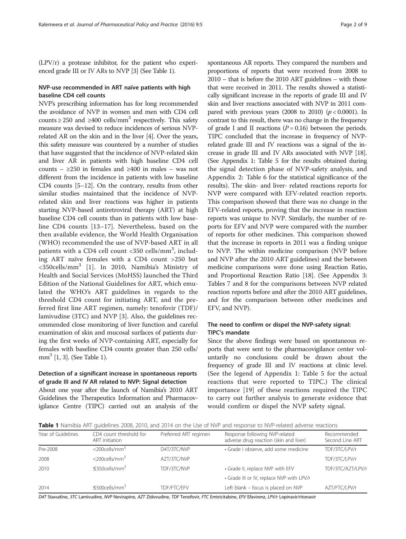(LPV/r) a protease inhibitor, for the patient who experienced grade III or IV ARs to NVP [\[3](#page-8-0)] (See Table 1).

#### NVP-use recommended in ART naïve patients with high baseline CD4 cell counts

NVP's prescribing information has for long recommended the avoidance of NVP in women and men with CD4 cell counts  $\geq$  250 and  $\geq$ 400 cells/mm<sup>3</sup> respectively. This safety measure was devised to reduce incidences of serious NVPrelated AR on the skin and in the liver [\[4](#page-8-0)]. Over the years, this safety measure was countered by a number of studies that have suggested that the incidence of NVP-related skin and liver AR in patients with high baseline CD4 cell counts –  $\geq 250$  in females and  $\geq 400$  in males – was not different from the incidence in patients with low baseline CD4 counts [\[5](#page-8-0)–[12](#page-8-0)]. On the contrary, results from other similar studies maintained that the incidence of NVPrelated skin and liver reactions was higher in patients starting NVP-based antiretroviral therapy (ART) at high baseline CD4 cell counts than in patients with low baseline CD4 counts [[13](#page-8-0)–[17\]](#page-8-0). Nevertheless, based on the then available evidence, the World Health Organisation (WHO) recommended the use of NVP-based ART in all patients with a CD4 cell count <350 cells/mm<sup>3</sup>, including ART naïve females with a CD4 count >250 but <350cells/mm<sup>3</sup> [[1\]](#page-7-0). In 2010, Namibia's Ministry of Health and Social Services (MoHSS) launched the Third Edition of the National Guidelines for ART, which emulated the WHO's ART guidelines in regards to the threshold CD4 count for initiating ART, and the preferred first line ART regimen, namely: tenofovir (TDF)/ lamivudine (3TC) and NVP [\[3](#page-8-0)]. Also, the guidelines recommended close monitoring of liver function and careful examination of skin and mucosal surfaces of patients during the first weeks of NVP-containing ART, especially for females with baseline CD4 counts greater than 250 cells/  $mm<sup>3</sup>$  [\[1](#page-7-0), [3\]](#page-8-0). (See Table 1).

#### Detection of a significant increase in spontaneous reports of grade III and IV AR related to NVP: Signal detection

About one year after the launch of Namibia's 2010 ART Guidelines the Therapeutics Information and Pharmacovigilance Centre (TIPC) carried out an analysis of the

spontaneous AR reports. They compared the numbers and proportions of reports that were received from 2008 to 2010 – that is before the 2010 ART guidelines – with those that were received in 2011. The results showed a statistically significant increase in the reports of grade III and IV skin and liver reactions associated with NVP in 2011 compared with previous years (2008 to 2010) ( $p < 0.0001$ ). In contrast to this result, there was no change in the frequency of grade I and II reactions ( $P = 0.16$ ) between the periods. TIPC concluded that the increase in frequency of NVPrelated grade III and IV reactions was a signal of the increase in grade III and IV ARs associated with NVP [\[18](#page-8-0)]. (See [Appendix 1](#page-6-0): Table 5 for the results obtained during the signal detection phase of NVP-safety analysis, and [Appendix 2:](#page-7-0) Table 6 for the statistical significance of the results). The skin- and liver- related reactions reports for NVP were compared with EFV-related reaction reports. This comparison showed that there was no change in the EFV-related reports, proving that the increase in reaction reports was unique to NVP. Similarly, the number of reports for EFV and NVP were compared with the number of reports for other medicines. This comparison showed that the increase in reports in 2011 was a finding unique to NVP. The within medicine comparison (NVP before and NVP after the 2010 ART guidelines) and the between medicine comparisons were done using Reaction Ratio, and Proportional Reaction Ratio [\[18\]](#page-8-0). (See [Appendix 3](#page-7-0): Tables 7 and 8 for the comparisons between NVP related reaction reports before and after the 2010 ART guidelines, and for the comparison between other medicines and EFV, and NVP).

#### The need to confirm or dispel the NVP-safety signal: TIPC's mandate

Since the above findings were based on spontaneous reports that were sent to the pharmacovigilance center voluntarily no conclusions could be drawn about the frequency of grade III and IV reactions at clinic level. (See the legend of [Appendix 1:](#page-6-0) Table 5 for the actual reactions that were reported to TIPC.) The clinical importance [[19](#page-8-0)] of these reactions required the TIPC to carry out further analysis to generate evidence that would confirm or dispel the NVP safety signal.

Table 1 Namibia ART guidelines 2008, 2010, and 2014 on the Use of NVP and response to NVP-related adverse reactions

| Year of Guidelines | CD4 count threshold for<br>ART initiation | Preferred ART regimen | Response following NVP-related<br>adverse drug reaction (skin and liver) | Recommended<br>Second Line ART |
|--------------------|-------------------------------------------|-----------------------|--------------------------------------------------------------------------|--------------------------------|
| Pre-2008           | $<$ 200 $\text{cells/mm}^3$               | D4T/3TC/NVP           | · Grade I observe, add some medicine                                     | TDF/3TC/LPV/r                  |
| 2008               | $<$ 200cells/mm $3$                       | AZT/3TC/NVP           |                                                                          | TDF/3TC/LPV/r                  |
| 2010               | $\leq$ 350cells/mm <sup>3</sup>           | TDF/3TC/NVP           | • Grade II, replace NVP with EFV                                         | TDF/3TC/AZT/LPV/r              |
|                    |                                           |                       | • Grade III or IV, replace NVP with LPV/r                                |                                |
| 2014               | $\leq$ 500cells/mm <sup>3</sup>           | TDF/FTC/EFV           | Left blank - focus is placed on NVP                                      | AZT/FTC/LPV/r                  |

D4T Stavudine, 3TC Lamivudine, NVP Nevirapine, AZT Zidovudine, TDF Tenofovir, FTC Emtricitabine, EFV Efavirenz, LPV/r Lopinavir/ritonavir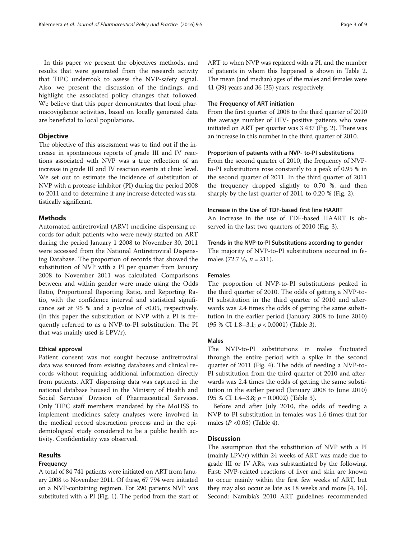In this paper we present the objectives methods, and results that were generated from the research activity that TIPC undertook to assess the NVP-safety signal. Also, we present the discussion of the findings, and highlight the associated policy changes that followed. We believe that this paper demonstrates that local pharmacovigilance activities, based on locally generated data are beneficial to local populations.

#### **Objective**

The objective of this assessment was to find out if the increase in spontaneous reports of grade III and IV reactions associated with NVP was a true reflection of an increase in grade III and IV reaction events at clinic level. We set out to estimate the incidence of substitution of NVP with a protease inhibitor (PI) during the period 2008 to 2011 and to determine if any increase detected was statistically significant.

#### **Methods**

Automated antiretroviral (ARV) medicine dispensing records for adult patients who were newly started on ART during the period January 1 2008 to November 30, 2011 were accessed from the National Antiretroviral Dispensing Database. The proportion of records that showed the substitution of NVP with a PI per quarter from January 2008 to November 2011 was calculated. Comparisons between and within gender were made using the Odds Ratio, Proportional Reporting Ratio, and Reporting Ratio, with the confidence interval and statistical significance set at 95 % and a p-value of <0.05, respectively. (In this paper the substitution of NVP with a PI is frequently referred to as a NVP-to-PI substitution. The PI that was mainly used is LPV/r).

#### Ethical approval

Patient consent was not sought because antiretroviral data was sourced from existing databases and clinical records without requiring additional information directly from patients. ART dispensing data was captured in the national database housed in the Ministry of Health and Social Services' Division of Pharmaceutical Services. Only TIPC staff members mandated by the MoHSS to implement medicines safety analyses were involved in the medical record abstraction process and in the epidemiological study considered to be a public health activity. Confidentiality was observed.

#### Results

#### Frequency

A total of 84 741 patients were initiated on ART from January 2008 to November 2011. Of these, 67 794 were initiated on a NVP-containing regimen. For 290 patients NVP was substituted with a PI (Fig. [1\)](#page-3-0). The period from the start of ART to when NVP was replaced with a PI, and the number of patients in whom this happened is shown in Table [2](#page-3-0). The mean (and median) ages of the males and females were 41 (39) years and 36 (35) years, respectively.

#### The Frequency of ART initiation

From the first quarter of 2008 to the third quarter of 2010 the average number of HIV- positive patients who were initiated on ART per quarter was 3 437 (Fig. [2](#page-4-0)). There was an increase in this number in the third quarter of 2010.

#### Proportion of patients with a NVP- to-PI substitutions

From the second quarter of 2010, the frequency of NVPto-PI substitutions rose constantly to a peak of 0.95 % in the second quarter of 2011. In the third quarter of 2011 the frequency dropped slightly to 0.70 %, and then sharply by the last quarter of 2011 to 0.20 % (Fig. [2\)](#page-4-0).

#### Increase in the Use of TDF-based first line HAART

An increase in the use of TDF-based HAART is observed in the last two quarters of 2010 (Fig. [3](#page-4-0)).

#### Trends in the NVP-to-PI Substitutions according to gender

The majority of NVP-to-PI substitutions occurred in females (72.7 %,  $n = 211$ ).

#### Females

The proportion of NVP-to-PI substitutions peaked in the third quarter of 2010. The odds of getting a NVP-to-PI substitution in the third quarter of 2010 and afterwards was 2.4 times the odds of getting the same substitution in the earlier period (January 2008 to June 2010) (95 % CI 1.8–3.1; p < 0.0001) (Table [3\)](#page-5-0).

#### Males

The NVP-to-PI substitutions in males fluctuated through the entire period with a spike in the second quarter of 2011 (Fig. [4](#page-5-0)). The odds of needing a NVP-to-PI substitution from the third quarter of 2010 and afterwards was 2.4 times the odds of getting the same substitution in the earlier period (January 2008 to June 2010)  $(95 % CI 1.4-3.8; p = 0.0002)$  (Table [3\)](#page-5-0).

Before and after July 2010, the odds of needing a NVP-to-PI substitution in females was 1.6 times that for males ( $P < 0.05$ ) (Table [4](#page-6-0)).

#### **Discussion**

The assumption that the substitution of NVP with a PI (mainly LPV/r) within 24 weeks of ART was made due to grade III or IV ARs, was substantiated by the following. First: NVP-related reactions of liver and skin are known to occur mainly within the first few weeks of ART, but they may also occur as late as 18 weeks and more [[4, 16](#page-8-0)]. Second: Namibia's 2010 ART guidelines recommended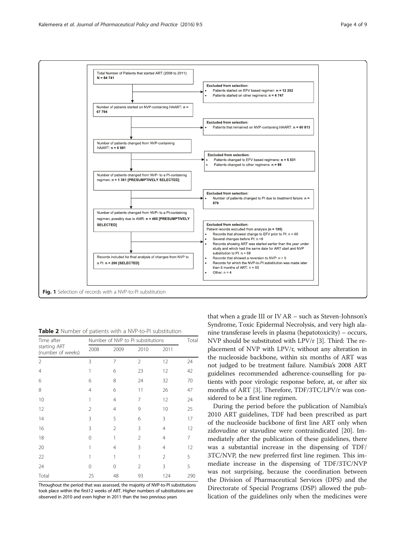<span id="page-3-0"></span>

Table 2 Number of patients with a NVP-to-PI substitution

| Time after                        |                | Number of NVP to PI substitutions |                |                |     |  |
|-----------------------------------|----------------|-----------------------------------|----------------|----------------|-----|--|
| starting ART<br>(number of weeks) | 2008           | 2009                              | 2010           | 2011           |     |  |
| 2                                 | 3              | 7                                 | $\overline{2}$ | 12             | 24  |  |
| $\overline{4}$                    | 1              | 6                                 | 23             | 12             | 42  |  |
| 6                                 | 6              | 8                                 | 24             | 32             | 70  |  |
| 8                                 | $\overline{4}$ | 6                                 | 11             | 26             | 47  |  |
| 10                                | 1              | $\overline{4}$                    | 7              | 12             | 24  |  |
| 12                                | $\overline{2}$ | $\overline{4}$                    | 9              | 10             | 25  |  |
| 14                                | 3              | 5                                 | 6              | 3              | 17  |  |
| 16                                | 3              | $\overline{2}$                    | 3              | 4              | 12  |  |
| 18                                | 0              | 1                                 | 2              | 4              | 7   |  |
| 20                                | 1              | $\overline{4}$                    | 3              | $\overline{4}$ | 12  |  |
| 22                                | 1              | 1                                 | 1              | $\overline{2}$ | 5   |  |
| 24                                | 0              | $\Omega$                          | $\overline{2}$ | 3              | 5   |  |
| Total                             | 25             | 48                                | 93             | 124            | 290 |  |

Throughout the period that was assessed, the majority of NVP-to-PI substitutions took place within the first12 weeks of ART. Higher numbers of substitutions are observed in 2010 and even higher in 2011 than the two previous years

that when a grade III or IV AR – such as Steven-Johnson's Syndrome, Toxic Epidermal Necrolysis, and very high alanine transferase levels in plasma (hepatotoxicity) – occurs, NVP should be substituted with LPV/r [[3](#page-8-0)]. Third: The replacement of NVP with LPV/r, without any alteration in the nucleoside backbone, within six months of ART was not judged to be treatment failure. Namibia's 2008 ART guidelines recommended adherence-counselling for patients with poor virologic response before, at, or after six months of ART [\[3](#page-8-0)]. Therefore, TDF/3TC/LPV/r was considered to be a first line regimen.

During the period before the publication of Namibia's 2010 ART guidelines, TDF had been prescribed as part of the nucleoside backbone of first line ART only when zidovudine or stavudine were contraindicated [\[20\]](#page-8-0). Immediately after the publication of these guidelines, there was a substantial increase in the dispensing of TDF/ 3TC/NVP, the new preferred first line regimen. This immediate increase in the dispensing of TDF/3TC/NVP was not surprising, because the coordination between the Division of Pharmaceutical Services (DPS) and the Directorate of Special Programs (DSP) allowed the publication of the guidelines only when the medicines were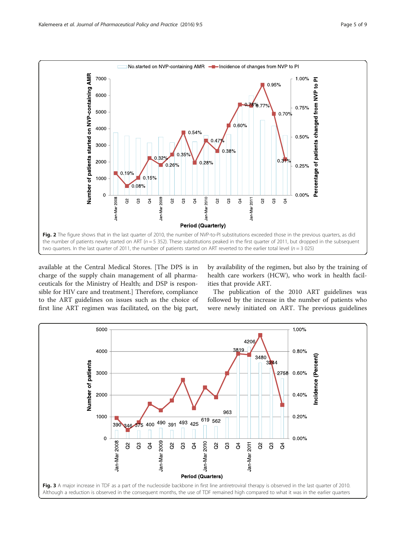<span id="page-4-0"></span>

available at the Central Medical Stores. [The DPS is in charge of the supply chain management of all pharmaceuticals for the Ministry of Health; and DSP is responsible for HIV care and treatment.] Therefore, compliance to the ART guidelines on issues such as the choice of first line ART regimen was facilitated, on the big part,

by availability of the regimen, but also by the training of health care workers (HCW), who work in health facilities that provide ART.

The publication of the 2010 ART guidelines was followed by the increase in the number of patients who were newly initiated on ART. The previous guidelines

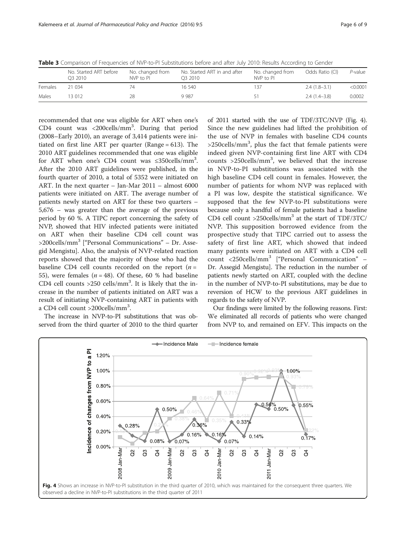<span id="page-5-0"></span>Table 3 Comparison of Frequencies of NVP-to-PI Substitutions before and after July 2010: Results According to Gender

|         | No. Started ART before<br>O <sub>3</sub> 2010 | No. changed from<br>NVP to PI | No. Started ART in and after<br>O <sub>3</sub> 2010 | No. changed from<br>NVP to PI | Odds Ratio (CI) | P-value  |
|---------|-----------------------------------------------|-------------------------------|-----------------------------------------------------|-------------------------------|-----------------|----------|
| Females | 21 034                                        | 74                            | 16.540                                              | -37                           | $2.4(1.8-3.1)$  | < 0.0001 |
| Males   | 13.012                                        | 28                            | 9 9 8 7                                             |                               | $2.4(1.4-3.8)$  | 0.0002   |

recommended that one was eligible for ART when one's CD4 count was <200cells/mm3 . During that period (2008–Early 2010), an average of 3,414 patients were initiated on first line ART per quarter (Range = 613). The 2010 ART guidelines recommended that one was eligible for ART when one's CD4 count was  $\leq$ 350cells/mm<sup>3</sup>. After the 2010 ART guidelines were published, in the fourth quarter of 2010, a total of 5352 were initiated on ART. In the next quarter – Jan-Mar 2011 – almost 6000 patients were initiated on ART. The average number of patients newly started on ART for these two quarters – 5,676 – was greater than the average of the previous period by 60 %. A TIPC report concerning the safety of NVP, showed that HIV infected patients were initiated on ART when their baseline CD4 cell count was  $>$ 200cells/mm<sup>3</sup> ["Personal Communications" – Dr. Assegid Mengistu]. Also, the analysis of NVP-related reaction reports showed that the majority of those who had the baseline CD4 cell counts recorded on the report  $(n =$ 55), were females ( $n = 48$ ). Of these, 60 % had baseline CD4 cell counts  $>250$  cells/mm<sup>3</sup>. It is likely that the increase in the number of patients initiated on ART was a result of initiating NVP-containing ART in patients with a CD4 cell count >200cells/mm<sup>3</sup>.

The increase in NVP-to-PI substitutions that was observed from the third quarter of 2010 to the third quarter

of 2011 started with the use of TDF/3TC/NVP (Fig. 4). Since the new guidelines had lifted the prohibition of the use of NVP in females with baseline CD4 counts >250cells/mm<sup>3</sup>, plus the fact that female patients were indeed given NVP-containing first line ART with CD4 counts >250cells/mm<sup>3</sup> , we believed that the increase in NVP-to-PI substitutions was associated with the high baseline CD4 cell count in females. However, the number of patients for whom NVP was replaced with a PI was low, despite the statistical significance. We supposed that the few NVP-to-PI substitutions were because only a handful of female patients had a baseline CD4 cell count  $>$ 250cells/mm<sup>3</sup> at the start of TDF/3TC/ NVP. This supposition borrowed evidence from the prospective study that TIPC carried out to assess the safety of first line ART, which showed that indeed many patients were initiated on ART with a CD4 cell count <250cells/mm<sup>3</sup> ["Personal Communication" – Dr. Assegid Mengistu]. The reduction in the number of patients newly started on ART, coupled with the decline in the number of NVP-to-PI substitutions, may be due to reversion of HCW to the previous ART guidelines in regards to the safety of NVP.

Our findings were limited by the following reasons. First: We eliminated all records of patients who were changed from NVP to, and remained on EFV. This impacts on the

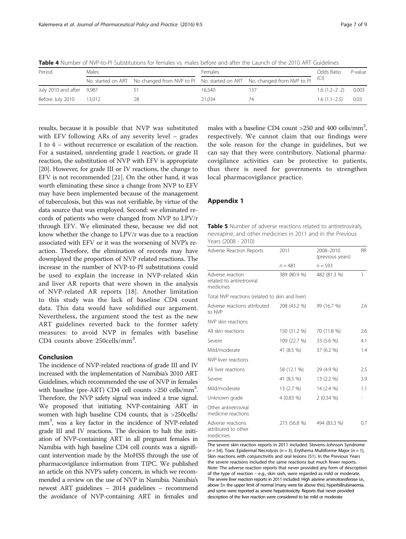<span id="page-6-0"></span>

|  |  |  |  |  | Table 4 Number of NVP-to-PI Substitutions for females vs. males before and after the Launch of the 2010 ART Guidelines |  |  |  |  |
|--|--|--|--|--|------------------------------------------------------------------------------------------------------------------------|--|--|--|--|
|--|--|--|--|--|------------------------------------------------------------------------------------------------------------------------|--|--|--|--|

| Period                    | Males  |    | Females |                                                                                                 | Odds Ratio     | $P$ -value |
|---------------------------|--------|----|---------|-------------------------------------------------------------------------------------------------|----------------|------------|
|                           |        |    |         | No. started on ART No changed from NVP to PI No. started on ART No. changed from NVP to PI (CI) |                |            |
| July 2010 and after 9,987 |        |    | 16.540  |                                                                                                 | $1.6(1.2-2.2)$ | 0.003      |
| Before July 2010          | 13.012 | 28 | 21.034  | 74                                                                                              | $1.6(1.1-2.5)$ | - 0.03     |

results, because it is possible that NVP was substituted with EFV following ARs of any severity level – grades 1 to 4 – without recurrence or escalation of the reaction. For a sustained, unrelenting grade I reaction, or grade II reaction, the substitution of NVP with EFV is appropriate [[20](#page-8-0)]. However, for grade III or IV reactions, the change to EFV is not recommended [\[21\]](#page-8-0). On the other hand, it was worth eliminating these since a change from NVP to EFV may have been implemented because of the management of tuberculosis, but this was not verifiable, by virtue of the data source that was employed. Second: we eliminated records of patients who were changed from NVP to LPV/r through EFV. We eliminated these, because we did not know whether the change to LPV/r was due to a reaction associated with EFV or it was the worsening of NVP's reaction. Therefore, the elimination of records may have downplayed the proportion of NVP related reactions. The increase in the number of NVP-to-PI substitutions could be used to explain the increase in NVP-related skin and liver AR reports that were shown in the analysis of NVP-related AR reports [\[18](#page-8-0)]. Another limitation to this study was the lack of baseline CD4 count data. This data would have solidified our argument. Nevertheless, the argument stood the test as the new ART guidelines reverted back to the former safety measures: to avoid NVP in females with baseline CD4 counts above 250cells/mm<sup>3</sup>.

#### Conclusion

The incidence of NVP-related reactions of grade III and IV increased with the implementation of Namibia's 2010 ART Guidelines, which recommended the use of NVP in females with baseline (pre-ART) CD4 cell counts >250 cells/mm<sup>3</sup>. Therefore, the NVP safety signal was indeed a true signal. We proposed that initiating NVP-containing ART in women with high baseline CD4 counts, that is >250cells/ mm<sup>3</sup>, was a key factor in the incidence of NVP-related grade III and IV reactions. The decision to halt the initiation of NVP-containing ART in all pregnant females in Namibia with high baseline CD4 cell counts was a significant intervention made by the MoHSS through the use of pharmacovigilance information from TIPC. We published an article on this NVP's safety concern, in which we recommended a review on the use of NVP in Namibia. Namibia's newest ART guidelines – 2014 guidelines – recommend the avoidance of NVP-containing ART in females and

males with a baseline CD4 count  $>$ 250 and 400 cells/mm<sup>3</sup>, respectively. We cannot claim that our findings were the sole reason for the change in guidelines, but we can say that they were contributory. National pharmacovigilance activities can be protective to patients, thus there is need for governments to strengthen local pharmacovigilance practice.

#### Appendix 1

Table 5 Number of adverse reactions related to antiretrovirals, nevirapine, and other medicines in 2011 and in the Previous Years (2008 - 2010)

| Adverse Reaction Reports                                   | 2011         | 2008-2010<br>(previous years) | RR. |
|------------------------------------------------------------|--------------|-------------------------------|-----|
|                                                            | $n = 481$    | $n = 593$                     |     |
| Adverse reaction<br>related to antiretroviral<br>medicines | 389 (80.9 %) | 482 (81.3 %)                  | 1   |
| Total NVP reactions (related to skin and liver)            |              |                               |     |
| Adverse reactions attributed<br>to NVP                     | 208 (43.2 %) | 99 (16.7 %)                   | 2.6 |
| NVP skin reactions                                         |              |                               |     |
| All skin reactions                                         | 150 (31.2 %) | 70 (11.8 %)                   | 2.6 |
| Severe                                                     | 109 (22.7 %) | 33 (5.6 %)                    | 4.1 |
| Mild/moderate                                              | 41 (8.5 %)   | 37 (6.2 %)                    | 1.4 |
| NVP-liver reactions                                        |              |                               |     |
| All liver reactions                                        | 58 (12.1 %)  | 29 (4.9 %)                    | 2.5 |
| Severe                                                     | 41 (8.5 %)   | 13 (2.2 %)                    | 3.9 |
| Mild/moderate                                              | 13 (2.7 %)   | 14 (2.4 %)                    | 1.1 |
| Unknown grade                                              | $4(0.83\%)$  | 2(0.34%                       |     |
| Other antiretroviral<br>medicine reactions                 |              |                               |     |
| Adverse reactions<br>attributed to other<br>medicines      | 273 (56.8 %) | 494 (83.3 %)                  | 0.7 |

The severe skin reaction reports in 2011 included: Stevens-Johnson Syndrome  $(n = 54)$ , Toxic Epidermal Necrolysis (n = 3), Erythema Multiforme Major (n = 1), Skin reactions with conjunctivitis and oral lesions (51). In the Previous Years the severe reactions included the same reactions but much fewer reports. Note: The adverse reaction reports that never provided any form of description of the type of reaction – e.g., skin rash, were regarded as mild or moderate. The severe liver reaction reports in 2011 included: High alanine aminotransferase i.e., above 5× the upper limit of normal (many were far above this), hyperbilirubinaemia, and some were reported as severe hepatotoxicity. Reports that never provided description of the liver reaction were considered to be mild or moderate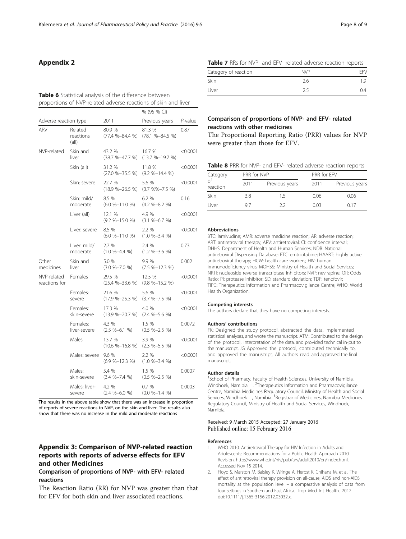# <span id="page-7-0"></span>Appendix 2

#### Table 6 Statistical analysis of the difference between proportions of NVP-related adverse reactions of skin and liver

|                              |                               |                                | % (95 % CI)                                      |          |
|------------------------------|-------------------------------|--------------------------------|--------------------------------------------------|----------|
| Adverse reaction type        |                               | 2011                           | Previous years                                   | P-value  |
| ARV                          | Related<br>reactions<br>(all) | 80.9 %<br>$(77.4 % - 84.4 % )$ | 81.3 %<br>$(78.1 % - 84.5 % )$                   | 0.87     |
| NVP-related                  | Skin and<br>liver             | 43.2 %<br>$(38.7 % -47.7 % )$  | 16.7 %<br>$(13.7 % -19.7 % )$                    | < 0.0001 |
|                              | Skin (all)                    | 31.2 %<br>$(27.0 % - 35.5 % )$ | 11.8 %<br>$(9.2 % - 14.4 % )$                    | < 0.0001 |
|                              | Skin: severe                  | 22.7 %<br>$(18.9 % -26.5 % )$  | 5.6 %<br>$(3.7 \frac{96}{6} - 7.5 \frac{96}{6})$ | < 0.0001 |
|                              | Skin: mild/<br>moderate       | 8.5 %<br>$(6.0 % - 11.0 % )$   | 6.2 %<br>$(4.2 %-8.2 %)$                         | 0.16     |
|                              | Liver (all)                   | 12.1 %<br>$(9.2 % - 15.0 % )$  | 4.9 %<br>$(3.1 \%$ -6.7 %)                       | < 0.0001 |
|                              | Liver: severe                 | 8.5 %<br>$(6.0 % - 11.0 % )$   | 2.2%<br>$(1.0 \% - 3.4 %)$                       | < 0.0001 |
|                              | Liver: mild/<br>moderate      | 2.7%<br>$(1.0 \% - 4.4 %)$     | 2.4 %<br>$(1.2 \% - 3.6 %)$                      | 0.73     |
| Other<br>medicines           | Skin and<br>liver             | 5.0 %<br>$(3.0 % -7.0 % )$     | 9.9%<br>$(7.5 \% - 12.3%)$                       | 0.002    |
| NVP-related<br>reactions for | Females                       | 29.5 %<br>$(25.4 % - 33.6 % )$ | 12.5 %<br>$(9.8 \% - 15.2 %)$                    | < 0.0001 |
|                              | Females:<br>severe            | 21.6 %<br>$(17.9 % -25.3 % )$  | 5.6 %<br>$(3.7 % -7.5 % )$                       | < 0.0001 |
|                              | Females:<br>skin-severe       | 17.3 %<br>$(13.9 % -20.7 % )$  | 4.0 %<br>$(2.4 %-5.6 %)$                         | < 0.0001 |
|                              | Females:<br>liver-severe      | 4.3 %<br>$(2.5 \%–6.1%)$       | 1.5 %<br>$(0.5 \% - 2.5 %$                       | 0.0072   |
|                              | Males                         | 13.7 %<br>$(10.6 % - 16.8 % )$ | 3.9 %<br>$(2.3 \% - 5.5 %$                       | < 0.0001 |
|                              | Males: severe                 | 9.6 %<br>(6.9 %–12.3 %)        | 2.2 %<br>$(1.0 \% - 3.4 %)$                      | < 0.0001 |
|                              | Males:<br>skin-severe         | 5.4 %<br>$(3.4 %-7.4 %)$       | 1.5 %<br>$(0.5 \% - 2.5 %)$                      | 0.0007   |
|                              | Males: liver-<br>severe       | 4.2 %<br>$(2.4 %-6.0 %)$       | 0.7%<br>$(0.0 \% - 1.4 %$                        | 0.0003   |

The results in the above table show that there was an increase in proportion of reports of severe reactions to NVP, on the skin and liver. The results also show that there was no increase in the mild and moderate reactions

# Appendix 3: Comparison of NVP-related reaction reports with reports of adverse effects for EFV and other Medicines

### Comparison of proportions of NVP- with EFV- related reactions

The Reaction Ratio (RR) for NVP was greater than that for EFV for both skin and liver associated reactions.

| Table 7 RRs for NVP- and EFV- related adverse reaction reports |  |
|----------------------------------------------------------------|--|
|----------------------------------------------------------------|--|

| Category of reaction | <b>NVP</b> | FFV |
|----------------------|------------|-----|
| Skin                 | 2.6        | 19  |
| Liver                | 2.5        | 0.4 |

# Comparison of proportions of NVP- and EFV- related reactions with other medicines

The Proportional Reporting Ratio (PRR) values for NVP were greater than those for EFV.

| Category       | PRR for NVP |                | PRR for EFV |                |
|----------------|-------------|----------------|-------------|----------------|
| of<br>reaction | 2011        | Previous years | 2011        | Previous years |
| Skin           | 3.8         | 15             | 0.06        | 0.06           |
| Liver          | 97          | フフ             | 0.03        | 0.17           |

#### Abbreviations

3TC: lamivudine; AMR: adverse medicine reaction; AR: adverse reaction; ART: antiretroviral therapy; ARV: antiretroviral; CI: confidence interval; DHHS: Department of Health and Human Services; NDB: National antiretroviral Dispensing Database; FTC: emtricitabine; HAART: highly active antiretroviral therapy; HCW: health care workers; HIV: human immunodeficiency virus; MOHSS: Ministry of Health and Social Services; NRTI: nucleoside reverse transcriptase inhibitors; NVP: nevirapine; OR: Odds Ratio; PI: protease inhibitor; SD: standard deviation; TDF: tenofovir; TIPC: Therapeutics Information and Pharmacovigilance Centre; WHO: World Health Organization.

#### Competing interests

The authors declare that they have no competing interests.

#### Authors' contributions

FK: Designed the study protocol, abstracted the data, implemented statistical analyses, and wrote the manuscript. ATM: Contributed to the design of the protocol, interpretation of the data, and provided technical in-put to the manuscript. JG: Approved the protocol, contributed technically to, and approved the manuscript. All authors read and approved the final manuscript.

#### Author details

<sup>1</sup>School of Pharmacy, Faculty of Health Sciences, University of Namibia, Windhoek, Namibia .<sup>2</sup>Therapeutics Information and Pharmacovigilance Centre, Namibia Medicines Regulatory Council, Ministry of Health and Social Services, Windhoek , Namibia. <sup>3</sup> Registrar of Medicines, Namibia Medicines Regulatory Council, Ministry of Health and Social Services, Windhoek, Namibia.

#### Received: 9 March 2015 Accepted: 27 January 2016 Published online: 15 February 2016

#### References

- 1. WHO 2010. Antiretroviral Therapy for HIV Infection in Adults and Adolescents: Recommendations for a Public Health Approach 2010 Revision.<http://www.who.int/hiv/pub/arv/adult2010/en/index.html>. Accessed Nov 15 2014.
- 2. Floyd S, Marston M, Baisley K, Wringe A, Herbst K, Chihana M, et al. The effect of antiretroviral therapy provision on all-cause, AIDS and non-AIDS mortality at the population level – a comparative analysis of data from four settings in Southern and East Africa. Trop Med Int Health. 2012. doi[:10.1111/j.1365-3156.2012.03032.x.](http://dx.doi.org/10.1111/j.1365-3156.2012.03032.x)